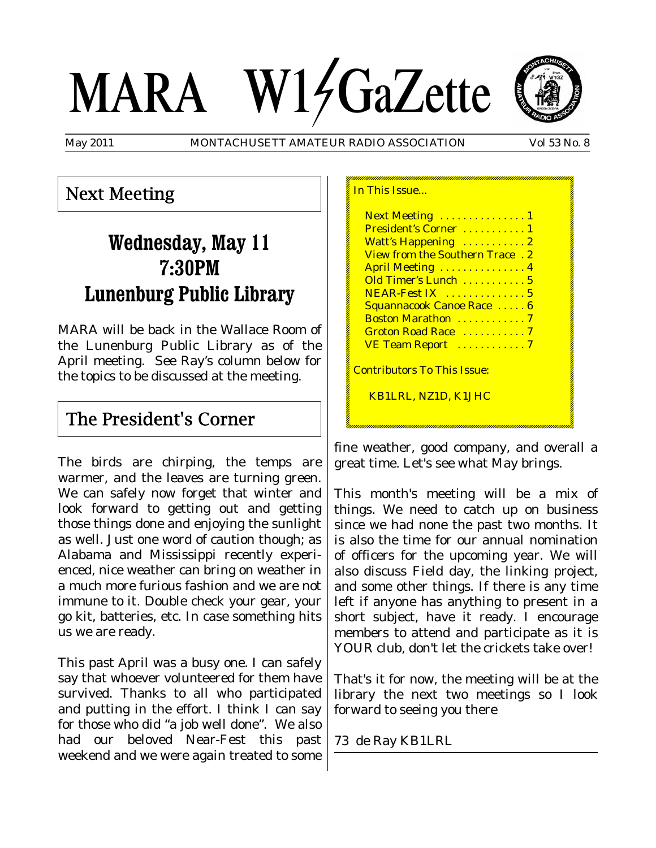# MARA W14GaZette



May 2011 MONTACHUSETT AMATEUR RADIO ASSOCIATION Vol 53 No. 8

## Next Meeting

# **Wednesday, May 11 7:30PM Lunenburg Public Library**

MARA will be back in the Wallace Room of the Lunenburg Public Library as of the April meeting. See Ray's column below for the topics to be discussed at the meeting.

## The President's Corner

The birds are chirping, the temps are warmer, and the leaves are turning green. We can safely now forget that winter and look forward to getting out and getting those things done and enjoying the sunlight as well. Just one word of caution though; as Alabama and Mississippi recently experienced, nice weather can bring on weather in a much more furious fashion and we are not immune to it. Double check your gear, your go kit, batteries, etc. In case something hits us we are ready.

This past April was a busy one. I can safely say that whoever volunteered for them have survived. Thanks to all who participated and putting in the effort. I think I can say for those who did "a job well done". We also had our beloved Near-Fest this past weekend and we were again treated to some

| Next Meeting  1                        |  |
|----------------------------------------|--|
| President's Corner 1                   |  |
| Watt's Happening  2                    |  |
| <b>View from the Southern Trace.</b> 2 |  |
| April Meeting  4                       |  |
| Old Timer's Lunch  5                   |  |
| NEAR-Fest IX  5                        |  |
| Squannacook Canoe Race  6              |  |
| Boston Marathon  7                     |  |
| Groton Road Race 7                     |  |
| VE Team Report 7                       |  |
| <u> Contributors To This Issue:</u>    |  |
| KB1LRL, NZ1D, K1JHC                    |  |
|                                        |  |

fine weather, good company, and overall a great time. Let's see what May brings.

This month's meeting will be a mix of things. We need to catch up on business since we had none the past two months. It is also the time for our annual nomination of officers for the upcoming year. We will also discuss Field day, the linking project, and some other things. If there is any time left if anyone has anything to present in a short subject, have it ready. I encourage members to attend and participate as it is YOUR club, don't let the crickets take over!

That's it for now, the meeting will be at the library the next two meetings so I look forward to seeing you there

73 de Ray KB1LRL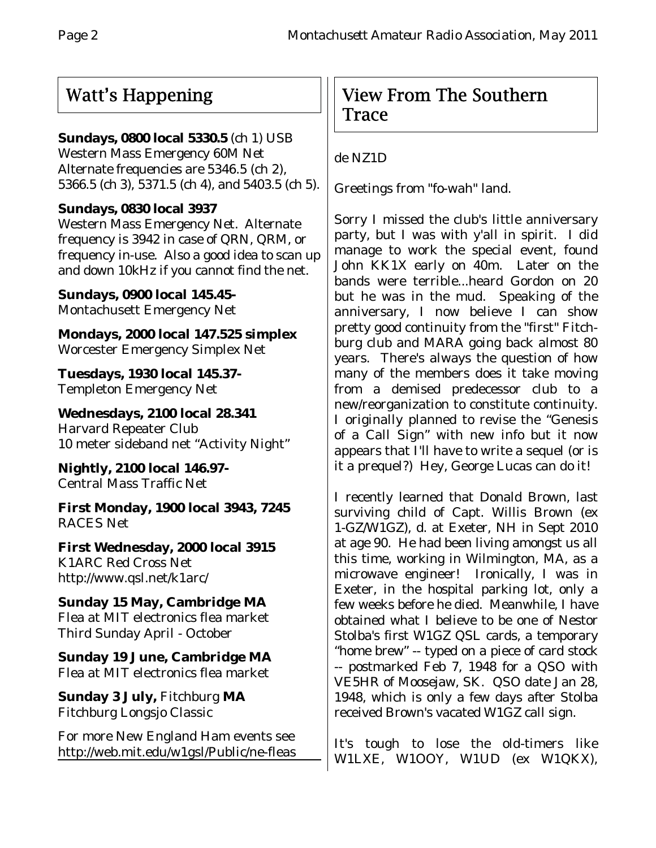## Watt's Happening

## **Sundays, 0800 local 5330.5** (ch 1) USB

Western Mass Emergency 60M Net Alternate frequencies are 5346.5 (ch 2), 5366.5 (ch 3), 5371.5 (ch 4), and 5403.5 (ch 5).

## **Sundays, 0830 local 3937**

Western Mass Emergency Net. Alternate frequency is 3942 in case of QRN, QRM, or frequency in-use. Also a good idea to scan up and down 10kHz if you cannot find the net.

**Sundays, 0900 local 145.45-** Montachusett Emergency Net

**Mondays, 2000 local 147.525 simplex** Worcester Emergency Simplex Net

**Tuesdays, 1930 local 145.37-** Templeton Emergency Net

**Wednesdays, 2100 local 28.341** Harvard Repeater Club 10 meter sideband net "Activity Night"

**Nightly, 2100 local 146.97-** Central Mass Traffic Net

**First Monday, 1900 local 3943, 7245** RACES Net

**First Wednesday, 2000 local 3915** K1ARC Red Cross Net http://www.qsl.net/k1arc/

**Sunday 15 May, Cambridge MA** Flea at MIT electronics flea market Third Sunday April - October

**Sunday 19 June, Cambridge MA** Flea at MIT electronics flea market

**Sunday 3 July,** Fitchburg **MA** Fitchburg Longsjo Classic

For more New England Ham events see http://web.mit.edu/w1gsl/Public/ne-fleas

## View From The Southern Trace

## de NZ1D

Greetings from "fo-wah" land.

Sorry I missed the club's little anniversary party, but I was with y'all in spirit. I did manage to work the special event, found John KK1X early on 40m. Later on the bands were terrible...heard Gordon on 20 but he was in the mud. Speaking of the anniversary, I now believe I can show pretty good continuity from the "first" Fitchburg club and MARA going back almost 80 years. There's always the question of how many of the members does it take moving from a demised predecessor club to a new/reorganization to constitute continuity. I originally planned to revise the "Genesis of a Call Sign" with new info but it now appears that I'll have to write a sequel (or is it a prequel?) Hey, George Lucas can do it!

I recently learned that Donald Brown, last surviving child of Capt. Willis Brown (ex 1-GZ/W1GZ), d. at Exeter, NH in Sept 2010 at age 90. He had been living amongst us all this time, working in Wilmington, MA, as a microwave engineer! Ironically, I was in Exeter, in the hospital parking lot, only a few weeks before he died. Meanwhile, I have obtained what I believe to be one of Nestor Stolba's first W1GZ QSL cards, a temporary "home brew" -- typed on a piece of card stock -- postmarked Feb 7, 1948 for a QSO with VE5HR of Moosejaw, SK. QSO date Jan 28, 1948, which is only a few days after Stolba received Brown's vacated W1GZ call sign.

It's tough to lose the old-timers like W1LXE, W1OOY, W1UD (ex W1QKX),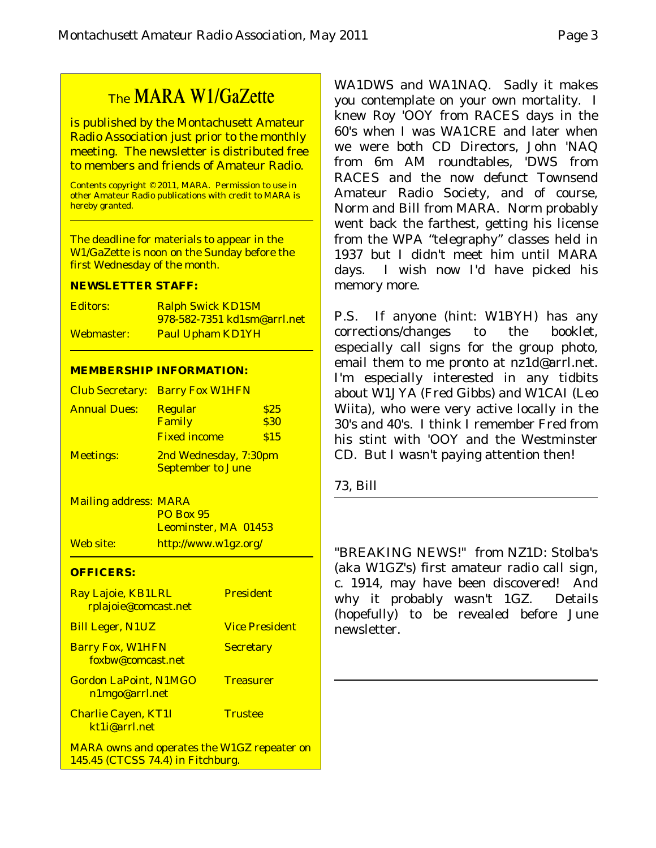## The MARA W1/GaZette

is published by the Montachusett Amateur Radio Association just prior to the monthly meeting. The newsletter is distributed free to members and friends of Amateur Radio.

Contents copyright © 2011, MARA. Permission to use in other Amateur Radio publications with credit to MARA is hereby granted.

The deadline for materials to appear in the W1/GaZette is noon on the Sunday before the first Wednesday of the month.

#### **NEWSLETTER STAFF:**

| Editors:   | <b>Ralph Swick KD1SM</b>           |
|------------|------------------------------------|
|            | <u>978-582-7351 kd1sm@arrl.net</u> |
| Webmaster: | <b>Paul Upham KD1YH</b>            |

#### **MEMBERSHIP INFORMATION:**

|                     | <b>Club Secretary: Barry Fox W1HFN</b>            |              |
|---------------------|---------------------------------------------------|--------------|
| <b>Annual Dues:</b> | <b>Regular</b><br>Family                          | \$25<br>\$30 |
|                     | <b>Fixed income</b>                               | \$15         |
| <b>Meetings:</b>    | 2nd Wednesday, 7:30pm<br><b>September to June</b> |              |

Mailing address: MARA PO Box 95 Leominster, MA 01453 Web site: http://www.w1gz.org/

#### **OFFICERS:**

| Ray Lajoie, KB1LRL<br>rplajoie@comcast.net                                              | <b>President</b>      |
|-----------------------------------------------------------------------------------------|-----------------------|
| <b>Bill Leger, N1UZ</b>                                                                 | <b>Vice President</b> |
| <b>Barry Fox, W1HFN</b><br>foxbw@comcast.net                                            | <b>Secretary</b>      |
| <b>Gordon LaPoint, N1MGO</b><br>n1mgo@arrl.net                                          | <b>Treasurer</b>      |
| <b>Charlie Cayen, KT1I</b><br>kt1j@arrl.net                                             | <b>Trustee</b>        |
| <b>MARA owns and operates the W1GZ repeater on</b><br>145.45 (CTCSS 74.4) in Fitchburg. |                       |

WA1DWS and WA1NAQ. Sadly it makes you contemplate on your own mortality. I knew Roy 'OOY from RACES days in the 60's when I was WA1CRE and later when we were both CD Directors, John 'NAQ from 6m AM roundtables, 'DWS from RACES and the now defunct Townsend Amateur Radio Society, and of course, Norm and Bill from MARA. Norm probably went back the farthest, getting his license from the WPA "telegraphy" classes held in 1937 but I didn't meet him until MARA days. I wish now I'd have picked his memory more.

P.S. If anyone (hint: W1BYH) has any corrections/changes to the booklet, especially call signs for the group photo, email them to me pronto at nz1d@arrl.net. I'm especially interested in any tidbits about W1JYA (Fred Gibbs) and W1CAI (Leo Wiita), who were very active locally in the 30's and 40's. I think I remember Fred from his stint with 'OOY and the Westminster CD. But I wasn't paying attention then!

73, Bill

"BREAKING NEWS!" from NZ1D: Stolba's (aka W1GZ's) first amateur radio call sign, c. 1914, may have been discovered! And why it probably wasn't 1GZ. Details (hopefully) to be revealed before June newsletter.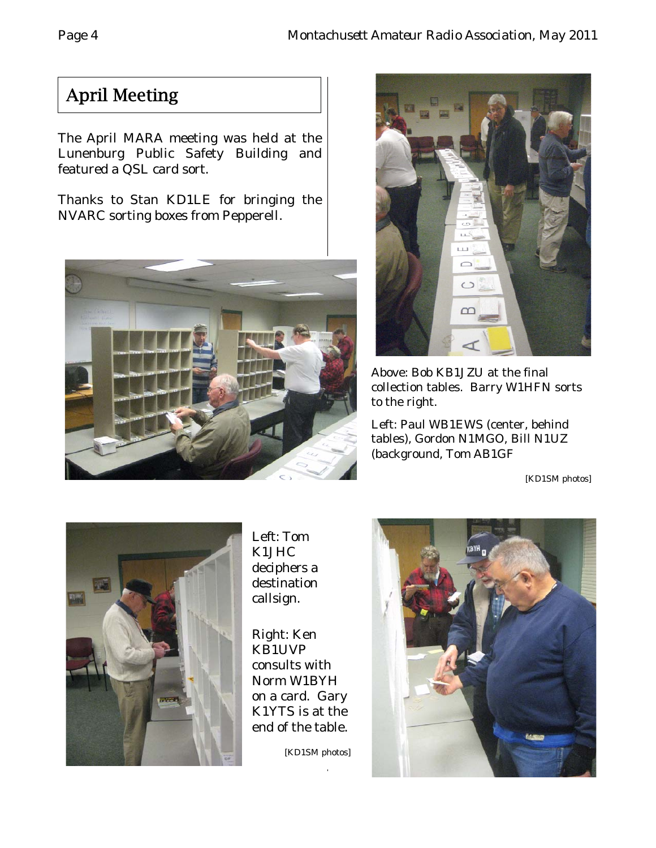# April Meeting

The April MARA meeting was held at the Lunenburg Public Safety Building and featured a QSL card sort.

Thanks to Stan KD1LE for bringing the NVARC sorting boxes from Pepperell.





Above: Bob KB1JZU at the final collection tables. Barry W1HFN sorts to the right.

Left: Paul WB1EWS (center, behind tables), Gordon N1MGO, Bill N1UZ (background, Tom AB1GF

[KD1SM photos]



Left: Tom K1JHC deciphers a destination callsign.

Right: Ken KB1UVP consults with Norm W1BYH on a card. Gary K1YTS is at the end of the table.

[KD1SM photos]

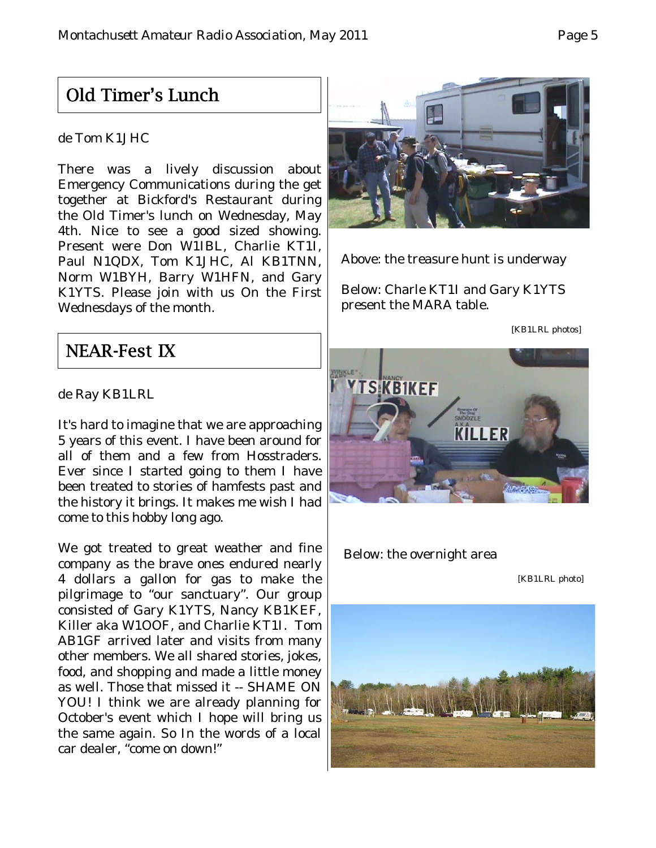## Old Timer's Lunch

### de Tom K1JHC

There was a lively discussion about Emergency Communications during the get together at Bickford's Restaurant during the Old Timer's lunch on Wednesday, May 4th. Nice to see a good sized showing. Present were Don W1IBL, Charlie KT1I, Paul N1QDX, Tom K1JHC, Al KB1TNN, Norm W1BYH, Barry W1HFN, and Gary K1YTS. Please join with us On the First Wednesdays of the month.



Above: the treasure hunt is underway

Below: Charle KT1I and Gary K1YTS present the MARA table.

[KB1LRL photos]

## NEAR-Fest IX

de Ray KB1LRL

It's hard to imagine that we are approaching 5 years of this event. I have been around for all of them and a few from Hosstraders. Ever since I started going to them I have been treated to stories of hamfests past and the history it brings. It makes me wish I had come to this hobby long ago.

We got treated to great weather and fine company as the brave ones endured nearly 4 dollars a gallon for gas to make the pilgrimage to "our sanctuary". Our group consisted of Gary K1YTS, Nancy KB1KEF, Killer aka W1OOF, and Charlie KT1I. Tom AB1GF arrived later and visits from many other members. We all shared stories, jokes, food, and shopping and made a little money as well. Those that missed it -- SHAME ON YOU! I think we are already planning for October's event which I hope will bring us the same again. So In the words of a local car dealer, "come on down!"



Below: the overnight area

[KB1LRL photo]

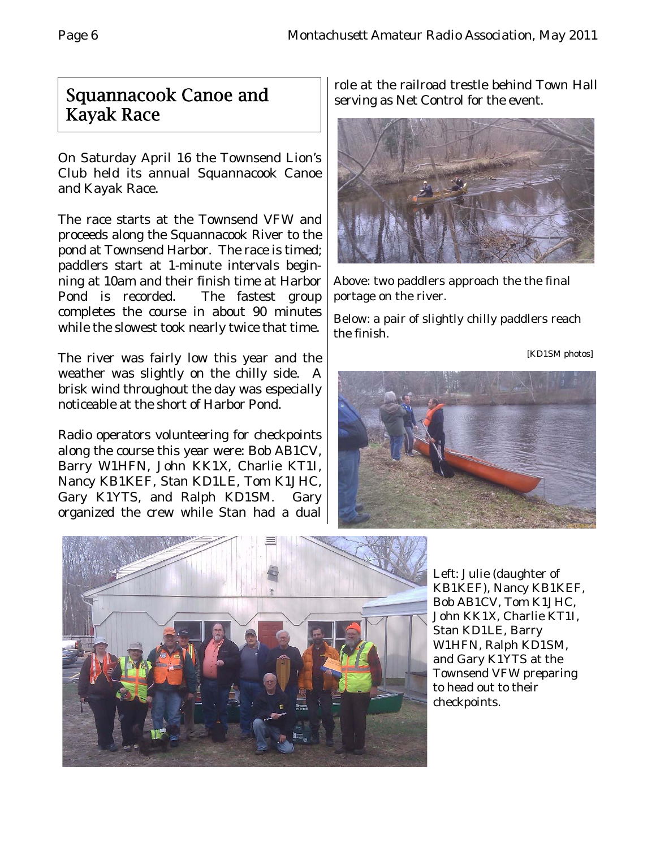## Squannacook Canoe and Kayak Race

On Saturday April 16 the Townsend Lion's Club held its annual Squannacook Canoe and Kayak Race.

The race starts at the Townsend VFW and proceeds along the Squannacook River to the pond at Townsend Harbor. The race is timed; paddlers start at 1-minute intervals beginning at 10am and their finish time at Harbor Pond is recorded. The fastest group completes the course in about 90 minutes while the slowest took nearly twice that time.

The river was fairly low this year and the weather was slightly on the chilly side. A brisk wind throughout the day was especially noticeable at the short of Harbor Pond.

Radio operators volunteering for checkpoints along the course this year were: Bob AB1CV, Barry W1HFN, John KK1X, Charlie KT1I, Nancy KB1KEF, Stan KD1LE, Tom K1JHC, Gary K1YTS, and Ralph KD1SM. Gary organized the crew while Stan had a dual

role at the railroad trestle behind Town Hall serving as Net Control for the event.



Above: two paddlers approach the the final portage on the river.

Below: a pair of slightly chilly paddlers reach the finish.

[KD1SM photos]





Left: Julie (daughter of KB1KEF), Nancy KB1KEF, Bob AB1CV, Tom K1JHC, John KK1X, Charlie KT1I, Stan KD1LE, Barry W1HFN, Ralph KD1SM, and Gary K1YTS at the Townsend VFW preparing to head out to their checkpoints.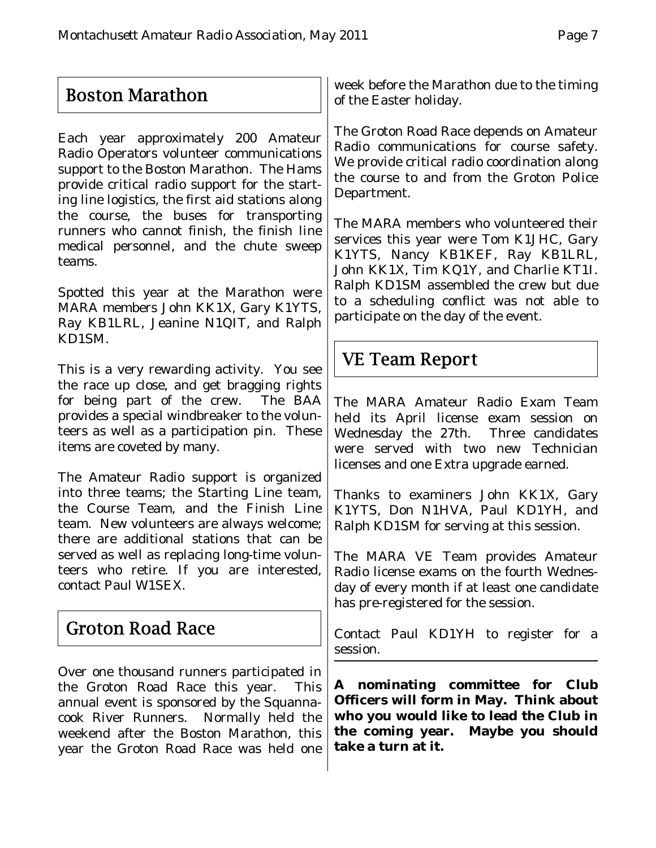# Boston Marathon

Each year approximately 200 Amateur Radio Operators volunteer communications support to the Boston Marathon. The Hams provide critical radio support for the starting line logistics, the first aid stations along the course, the buses for transporting runners who cannot finish, the finish line medical personnel, and the chute sweep teams.

Spotted this year at the Marathon were MARA members John KK1X, Gary K1YTS, Ray KB1LRL, Jeanine N1QIT, and Ralph KD1SM.

This is a very rewarding activity. You see the race up close, and get bragging rights for being part of the crew. The BAA provides a special windbreaker to the volunteers as well as a participation pin. These items are coveted by many.

The Amateur Radio support is organized into three teams; the Starting Line team, the Course Team, and the Finish Line team. New volunteers are always welcome; there are additional stations that can be served as well as replacing long-time volunteers who retire. If you are interested, contact Paul W1SEX.

## Groton Road Race

Over one thousand runners participated in the Groton Road Race this year. This annual event is sponsored by the Squannacook River Runners. Normally held the weekend after the Boston Marathon, this year the Groton Road Race was held one

week before the Marathon due to the timing of the Easter holiday.

The Groton Road Race depends on Amateur Radio communications for course safety. We provide critical radio coordination along the course to and from the Groton Police Department.

The MARA members who volunteered their services this year were Tom K1JHC, Gary K1YTS, Nancy KB1KEF, Ray KB1LRL, John KK1X, Tim KQ1Y, and Charlie KT1I. Ralph KD1SM assembled the crew but due to a scheduling conflict was not able to participate on the day of the event.

## VE Team Report

The MARA Amateur Radio Exam Team held its April license exam session on Wednesday the 27th. Three candidates were served with two new Technician licenses and one Extra upgrade earned.

Thanks to examiners John KK1X, Gary K1YTS, Don N1HVA, Paul KD1YH, and Ralph KD1SM for serving at this session.

The MARA VE Team provides Amateur Radio license exams on the fourth Wednesday of every month if at least one candidate has pre-registered for the session.

Contact Paul KD1YH to register for a session.

**A nominating committee for Club Officers will form in May. Think about who you would like to lead the Club in the coming year. Maybe you should take a turn at it.**